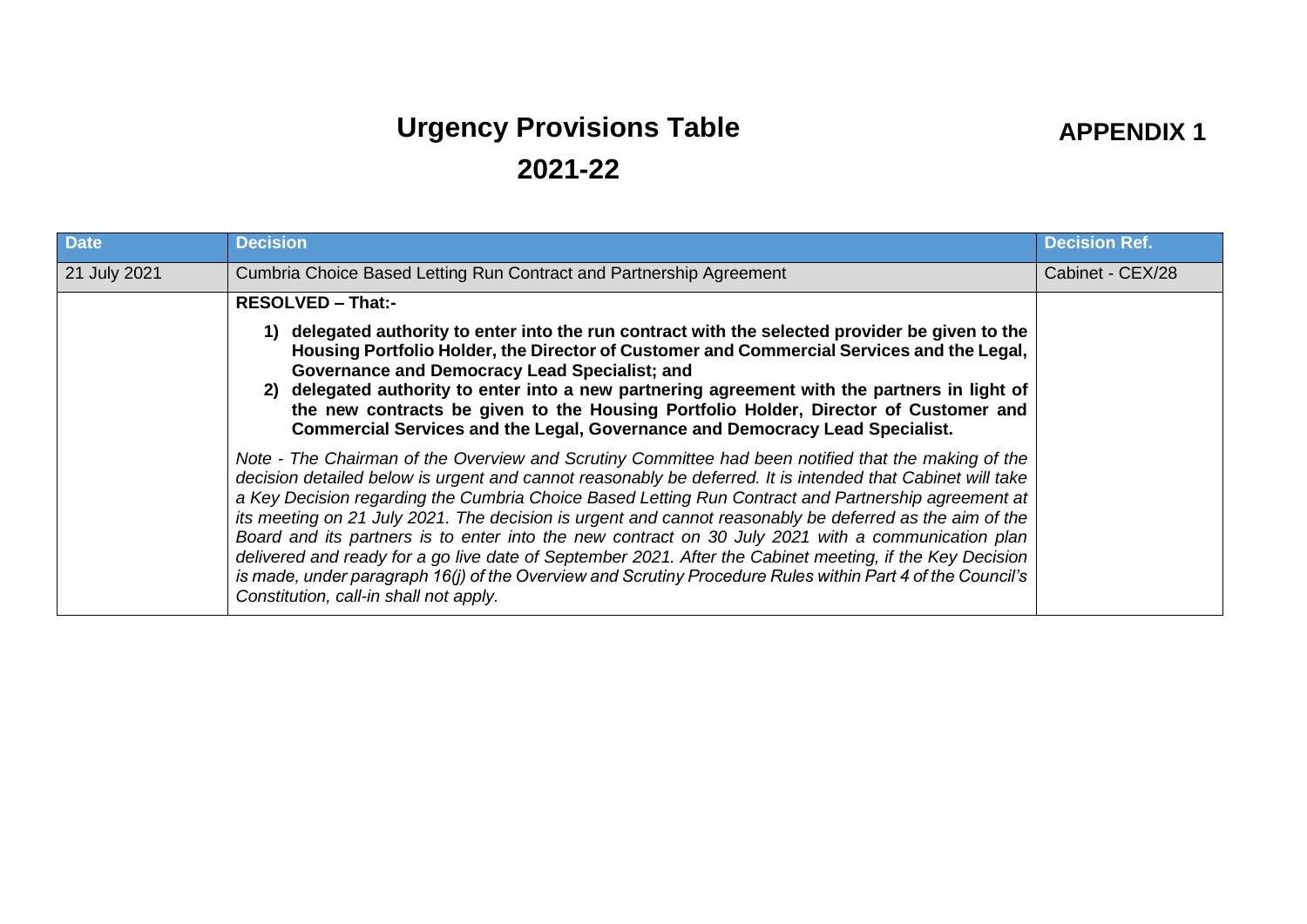## **Urgency Provisions Table 2021-22**

## **APPENDIX 1**

| <b>Date</b>  | <b>Decision</b>                                                                                                                                                                                                                                                                                                                                                                                                                                                                                                                                                                                                                                                                                                                                                                                               | <b>Decision Ref.</b> |
|--------------|---------------------------------------------------------------------------------------------------------------------------------------------------------------------------------------------------------------------------------------------------------------------------------------------------------------------------------------------------------------------------------------------------------------------------------------------------------------------------------------------------------------------------------------------------------------------------------------------------------------------------------------------------------------------------------------------------------------------------------------------------------------------------------------------------------------|----------------------|
| 21 July 2021 | Cumbria Choice Based Letting Run Contract and Partnership Agreement                                                                                                                                                                                                                                                                                                                                                                                                                                                                                                                                                                                                                                                                                                                                           | Cabinet - CEX/28     |
|              | <b>RESOLVED - That:-</b>                                                                                                                                                                                                                                                                                                                                                                                                                                                                                                                                                                                                                                                                                                                                                                                      |                      |
|              | 1) delegated authority to enter into the run contract with the selected provider be given to the<br>Housing Portfolio Holder, the Director of Customer and Commercial Services and the Legal,<br>Governance and Democracy Lead Specialist; and<br>2) delegated authority to enter into a new partnering agreement with the partners in light of<br>the new contracts be given to the Housing Portfolio Holder, Director of Customer and<br>Commercial Services and the Legal, Governance and Democracy Lead Specialist.                                                                                                                                                                                                                                                                                       |                      |
|              | Note - The Chairman of the Overview and Scrutiny Committee had been notified that the making of the<br>decision detailed below is urgent and cannot reasonably be deferred. It is intended that Cabinet will take<br>a Key Decision regarding the Cumbria Choice Based Letting Run Contract and Partnership agreement at<br>its meeting on 21 July 2021. The decision is urgent and cannot reasonably be deferred as the aim of the<br>Board and its partners is to enter into the new contract on 30 July 2021 with a communication plan<br>delivered and ready for a go live date of September 2021. After the Cabinet meeting, if the Key Decision<br>is made, under paragraph 16(j) of the Overview and Scrutiny Procedure Rules within Part 4 of the Council's<br>Constitution, call-in shall not apply. |                      |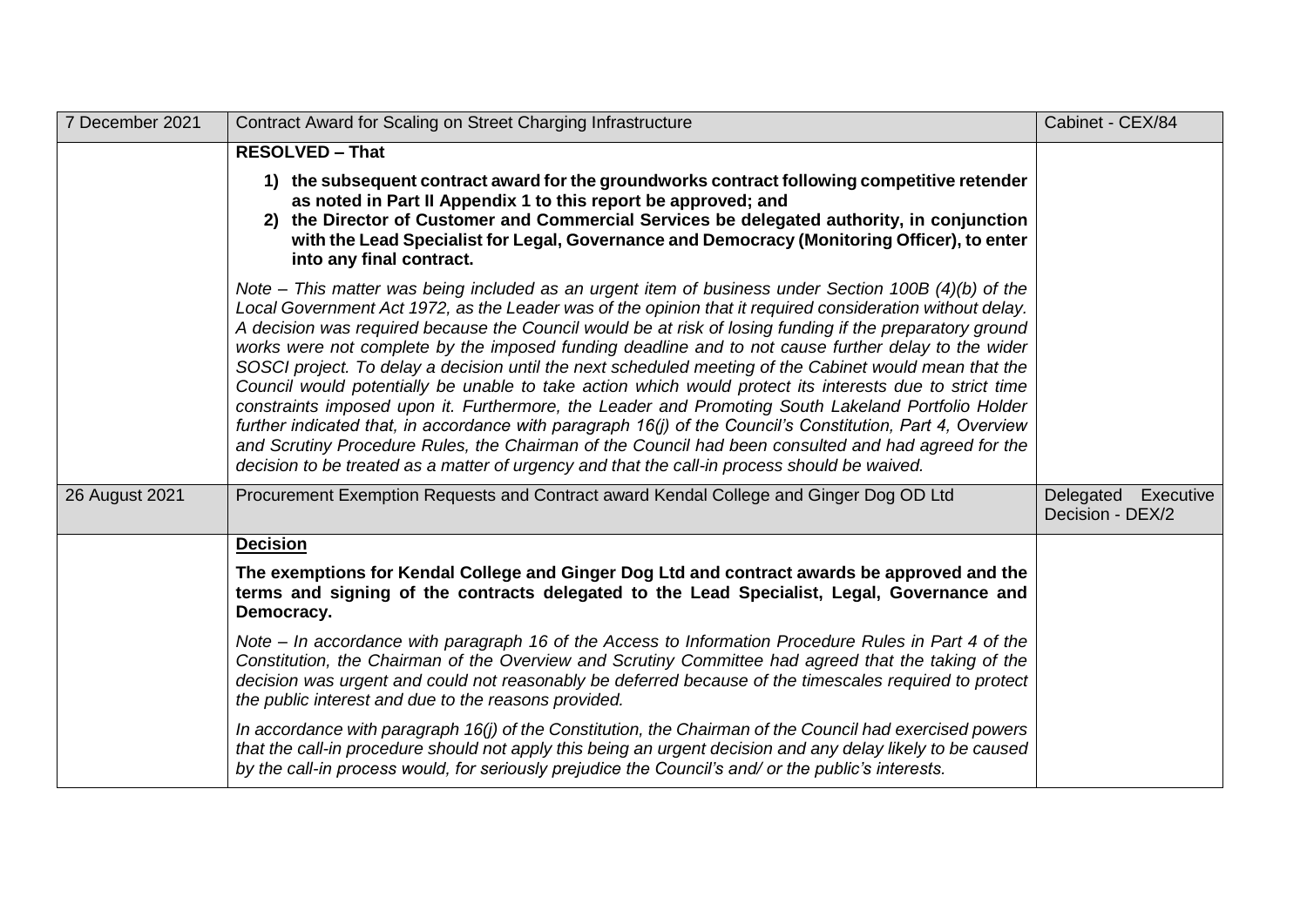| 7 December 2021 | Contract Award for Scaling on Street Charging Infrastructure                                                                                                                                                                                                                                                                                                                                                                                                                                                                                                                                                                                                                                                                                                                                                                                                                                                                                                                                                                                                                         | Cabinet - CEX/84                           |
|-----------------|--------------------------------------------------------------------------------------------------------------------------------------------------------------------------------------------------------------------------------------------------------------------------------------------------------------------------------------------------------------------------------------------------------------------------------------------------------------------------------------------------------------------------------------------------------------------------------------------------------------------------------------------------------------------------------------------------------------------------------------------------------------------------------------------------------------------------------------------------------------------------------------------------------------------------------------------------------------------------------------------------------------------------------------------------------------------------------------|--------------------------------------------|
|                 | <b>RESOLVED - That</b>                                                                                                                                                                                                                                                                                                                                                                                                                                                                                                                                                                                                                                                                                                                                                                                                                                                                                                                                                                                                                                                               |                                            |
|                 | 1) the subsequent contract award for the groundworks contract following competitive retender<br>as noted in Part II Appendix 1 to this report be approved; and<br>2) the Director of Customer and Commercial Services be delegated authority, in conjunction<br>with the Lead Specialist for Legal, Governance and Democracy (Monitoring Officer), to enter<br>into any final contract.                                                                                                                                                                                                                                                                                                                                                                                                                                                                                                                                                                                                                                                                                              |                                            |
|                 | Note – This matter was being included as an urgent item of business under Section 100B (4)(b) of the<br>Local Government Act 1972, as the Leader was of the opinion that it required consideration without delay.<br>A decision was required because the Council would be at risk of losing funding if the preparatory ground<br>works were not complete by the imposed funding deadline and to not cause further delay to the wider<br>SOSCI project. To delay a decision until the next scheduled meeting of the Cabinet would mean that the<br>Council would potentially be unable to take action which would protect its interests due to strict time<br>constraints imposed upon it. Furthermore, the Leader and Promoting South Lakeland Portfolio Holder<br>further indicated that, in accordance with paragraph 16(j) of the Council's Constitution, Part 4, Overview<br>and Scrutiny Procedure Rules, the Chairman of the Council had been consulted and had agreed for the<br>decision to be treated as a matter of urgency and that the call-in process should be waived. |                                            |
| 26 August 2021  | Procurement Exemption Requests and Contract award Kendal College and Ginger Dog OD Ltd                                                                                                                                                                                                                                                                                                                                                                                                                                                                                                                                                                                                                                                                                                                                                                                                                                                                                                                                                                                               | Executive<br>Delegated<br>Decision - DEX/2 |
|                 | <b>Decision</b>                                                                                                                                                                                                                                                                                                                                                                                                                                                                                                                                                                                                                                                                                                                                                                                                                                                                                                                                                                                                                                                                      |                                            |
|                 | The exemptions for Kendal College and Ginger Dog Ltd and contract awards be approved and the<br>terms and signing of the contracts delegated to the Lead Specialist, Legal, Governance and<br>Democracy.                                                                                                                                                                                                                                                                                                                                                                                                                                                                                                                                                                                                                                                                                                                                                                                                                                                                             |                                            |
|                 | Note – In accordance with paragraph 16 of the Access to Information Procedure Rules in Part 4 of the<br>Constitution, the Chairman of the Overview and Scrutiny Committee had agreed that the taking of the<br>decision was urgent and could not reasonably be deferred because of the timescales required to protect<br>the public interest and due to the reasons provided.                                                                                                                                                                                                                                                                                                                                                                                                                                                                                                                                                                                                                                                                                                        |                                            |
|                 | In accordance with paragraph 16(j) of the Constitution, the Chairman of the Council had exercised powers<br>that the call-in procedure should not apply this being an urgent decision and any delay likely to be caused<br>by the call-in process would, for seriously prejudice the Council's and/ or the public's interests.                                                                                                                                                                                                                                                                                                                                                                                                                                                                                                                                                                                                                                                                                                                                                       |                                            |